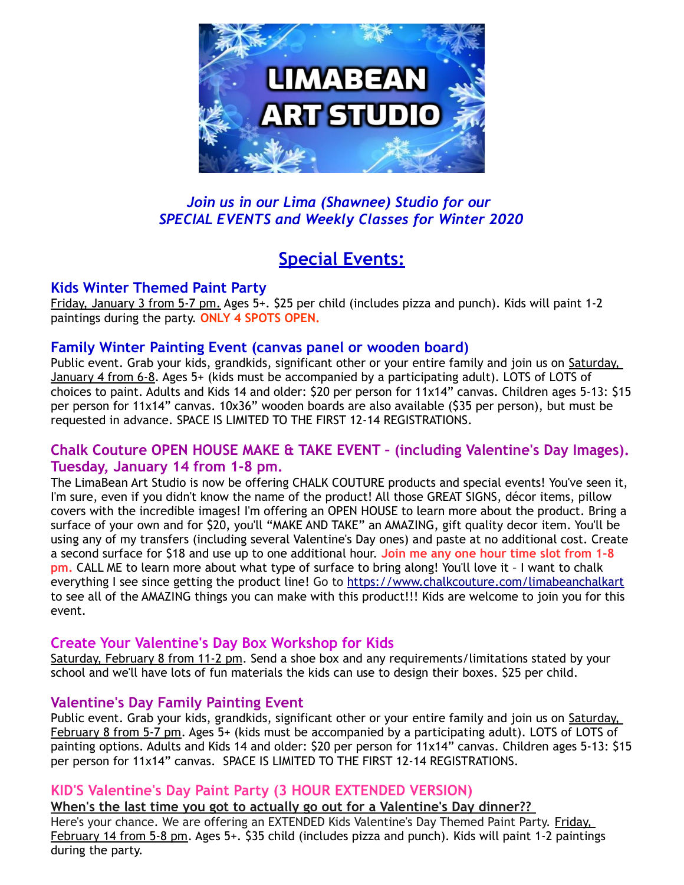

## *Join us in our Lima (Shawnee) Studio for our SPECIAL EVENTS and Weekly Classes for Winter 2020*

# **Special Events:**

## **Kids Winter Themed Paint Party**

Friday, January 3 from 5-7 pm. Ages 5+. \$25 per child (includes pizza and punch). Kids will paint 1-2 paintings during the party. **ONLY 4 SPOTS OPEN.**

### **Family Winter Painting Event (canvas panel or wooden board)**

Public event. Grab your kids, grandkids, significant other or your entire family and join us on Saturday, January 4 from 6-8. Ages 5+ (kids must be accompanied by a participating adult). LOTS of LOTS of choices to paint. Adults and Kids 14 and older: \$20 per person for 11x14" canvas. Children ages 5-13: \$15 per person for 11x14" canvas. 10x36" wooden boards are also available (\$35 per person), but must be requested in advance. SPACE IS LIMITED TO THE FIRST 12-14 REGISTRATIONS.

### **Chalk Couture OPEN HOUSE MAKE & TAKE EVENT – (including Valentine's Day Images). Tuesday, January 14 from 1-8 pm.**

The LimaBean Art Studio is now be offering CHALK COUTURE products and special events! You've seen it, I'm sure, even if you didn't know the name of the product! All those GREAT SIGNS, décor items, pillow covers with the incredible images! I'm offering an OPEN HOUSE to learn more about the product. Bring a surface of your own and for \$20, you'll "MAKE AND TAKE" an AMAZING, gift quality decor item. You'll be using any of my transfers (including several Valentine's Day ones) and paste at no additional cost. Create a second surface for \$18 and use up to one additional hour. **Join me any one hour time slot from 1-8 pm.** CALL ME to learn more about what type of surface to bring along! You'll love it – I want to chalk everything I see since getting the product line! Go to<https://www.chalkcouture.com/limabeanchalkart> to see all of the AMAZING things you can make with this product!!! Kids are welcome to join you for this event.

## **Create Your Valentine's Day Box Workshop for Kids**

Saturday, February 8 from 11-2 pm. Send a shoe box and any requirements/limitations stated by your school and we'll have lots of fun materials the kids can use to design their boxes. \$25 per child.

## **Valentine's Day Family Painting Event**

Public event. Grab your kids, grandkids, significant other or your entire family and join us on Saturday, February 8 from 5-7 pm. Ages 5+ (kids must be accompanied by a participating adult). LOTS of LOTS of painting options. Adults and Kids 14 and older: \$20 per person for 11x14" canvas. Children ages 5-13: \$15 per person for 11x14" canvas. SPACE IS LIMITED TO THE FIRST 12-14 REGISTRATIONS.

## **KID'S Valentine's Day Paint Party (3 HOUR EXTENDED VERSION)**

**When's the last time you got to actually go out for a Valentine's Day dinner??**  Here's your chance. We are offering an EXTENDED Kids Valentine's Day Themed Paint Party. Friday, February 14 from 5-8 pm. Ages 5+. \$35 child (includes pizza and punch). Kids will paint 1-2 paintings during the party.